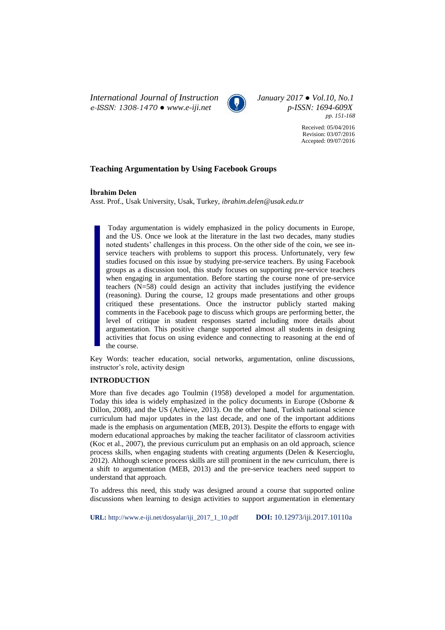*International Journal of Instruction January 2017 ● Vol.10, No.1 e-ISSN: 1308-1470 ● www.e-iji.net p-ISSN: 1694-609X*



*pp. 151-168*

Received: 05/04/2016 Revision: 03/07/2016 Accepted: 09/07/2016

# **Teaching Argumentation by Using Facebook Groups**

**İbrahim Delen**

Asst. Prof., Usak University, Usak, Turkey, *[ibrahim.delen@usak.edu.tr](mailto:ibrahim.delen@usak.edu.tr)*

Today argumentation is widely emphasized in the policy documents in Europe, and the US. Once we look at the literature in the last two decades, many studies noted students' challenges in this process. On the other side of the coin, we see inservice teachers with problems to support this process. Unfortunately, very few studies focused on this issue by studying pre-service teachers. By using Facebook groups as a discussion tool, this study focuses on supporting pre-service teachers when engaging in argumentation. Before starting the course none of pre-service teachers (N=58) could design an activity that includes justifying the evidence (reasoning). During the course, 12 groups made presentations and other groups critiqued these presentations. Once the instructor publicly started making comments in the Facebook page to discuss which groups are performing better, the level of critique in student responses started including more details about argumentation. This positive change supported almost all students in designing activities that focus on using evidence and connecting to reasoning at the end of the course.

Key Words: teacher education, social networks, argumentation, online discussions, instructor's role, activity design

### **INTRODUCTION**

More than five decades ago Toulmin (1958) developed a model for argumentation. Today this idea is widely emphasized in the policy documents in Europe (Osborne & Dillon, 2008), and the US (Achieve, 2013). On the other hand, Turkish national science curriculum had major updates in the last decade, and one of the important additions made is the emphasis on argumentation (MEB, 2013). Despite the efforts to engage with modern educational approaches by making the teacher facilitator of classroom activities (Koc et al., 2007), the previous curriculum put an emphasis on an old approach, science process skills, when engaging students with creating arguments (Delen & Kesercioglu, 2012). Although science process skills are still prominent in the new curriculum, there is a shift to argumentation (MEB, 2013) and the pre-service teachers need support to understand that approach.

To address this need, this study was designed around a course that supported online discussions when learning to design activities to support argumentation in elementary

**URL:** http://www.e-iji.net/dosyalar/iji\_2017\_1\_10.pdf **DOI:** 10.12973/iji.2017.10110a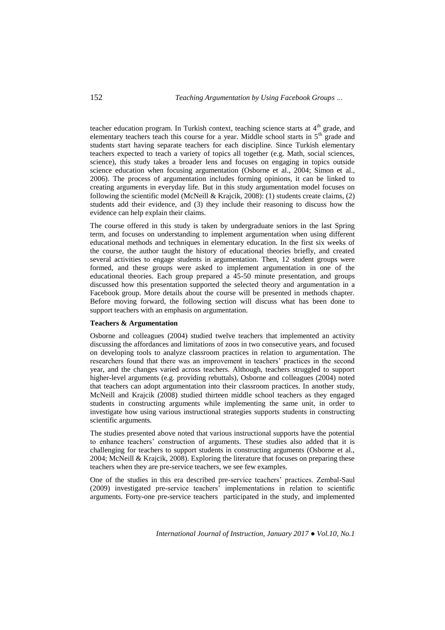teacher education program. In Turkish context, teaching science starts at  $4<sup>th</sup>$  grade, and elementary teachers teach this course for a year. Middle school starts in 5<sup>th</sup> grade and students start having separate teachers for each discipline. Since Turkish elementary teachers expected to teach a variety of topics all together (e.g. Math, social sciences, science), this study takes a broader lens and focuses on engaging in topics outside science education when focusing argumentation (Osborne et al., 2004; Simon et al., 2006). The process of argumentation includes forming opinions, it can be linked to creating arguments in everyday life. But in this study argumentation model focuses on following the scientific model (McNeill & Krajcik, 2008): (1) students create claims, (2) students add their evidence, and (3) they include their reasoning to discuss how the evidence can help explain their claims.

The course offered in this study is taken by undergraduate seniors in the last Spring term, and focuses on understanding to implement argumentation when using different educational methods and techniques in elementary education. In the first six weeks of the course, the author taught the history of educational theories briefly, and created several activities to engage students in argumentation. Then, 12 student groups were formed, and these groups were asked to implement argumentation in one of the educational theories. Each group prepared a 45-50 minute presentation, and groups discussed how this presentation supported the selected theory and argumentation in a Facebook group. More details about the course will be presented in methods chapter. Before moving forward, the following section will discuss what has been done to support teachers with an emphasis on argumentation.

#### **Teachers & Argumentation**

Osborne and colleagues (2004) studied twelve teachers that implemented an activity discussing the affordances and limitations of zoos in two consecutive years, and focused on developing tools to analyze classroom practices in relation to argumentation. The researchers found that there was an improvement in teachers' practices in the second year, and the changes varied across teachers. Although, teachers struggled to support higher-level arguments (e.g. providing rebuttals), Osborne and colleagues (2004) noted that teachers can adopt argumentation into their classroom practices. In another study, McNeill and Krajcik (2008) studied thirteen middle school teachers as they engaged students in constructing arguments while implementing the same unit, in order to investigate how using various instructional strategies supports students in constructing scientific arguments.

The studies presented above noted that various instructional supports have the potential to enhance teachers' construction of arguments. These studies also added that it is challenging for teachers to support students in constructing arguments (Osborne et al., 2004; McNeill & Krajcik, 2008). Exploring the literature that focuses on preparing these teachers when they are pre-service teachers, we see few examples.

One of the studies in this era described pre-service teachers' practices. Zembal-Saul (2009) investigated pre-service teachers' implementations in relation to scientific arguments. Forty-one pre-service teachers participated in the study, and implemented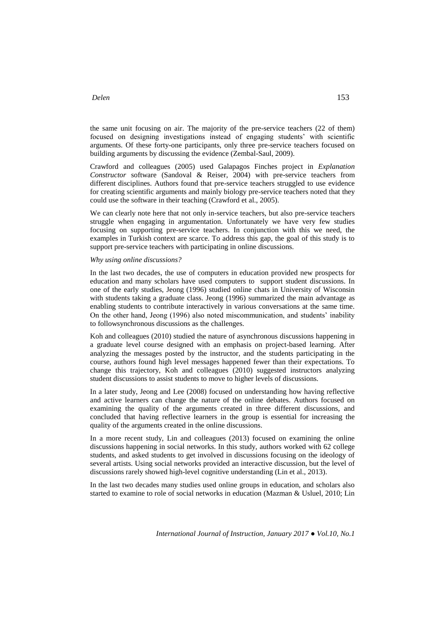the same unit focusing on air. The majority of the pre-service teachers (22 of them) focused on designing investigations instead of engaging students' with scientific arguments. Of these forty-one participants, only three pre-service teachers focused on building arguments by discussing the evidence (Zembal-Saul, 2009).

Crawford and colleagues (2005) used Galapagos Finches project in *Explanation Constructor* software (Sandoval & Reiser, 2004) with pre-service teachers from different disciplines. Authors found that pre-service teachers struggled to use evidence for creating scientific arguments and mainly biology pre-service teachers noted that they could use the software in their teaching (Crawford et al., 2005).

We can clearly note here that not only in-service teachers, but also pre-service teachers struggle when engaging in argumentation. Unfortunately we have very few studies focusing on supporting pre-service teachers. In conjunction with this we need, the examples in Turkish context are scarce. To address this gap, the goal of this study is to support pre-service teachers with participating in online discussions.

#### *Why using online discussions?*

In the last two decades, the use of computers in education provided new prospects for education and many scholars have used computers to support student discussions. In one of the early studies, Jeong (1996) studied online chats in University of Wisconsin with students taking a graduate class. Jeong (1996) summarized the main advantage as enabling students to contribute interactively in various conversations at the same time. On the other hand, Jeong (1996) also noted miscommunication, and students' inability to followsynchronous discussions as the challenges.

Koh and colleagues (2010) studied the nature of asynchronous discussions happening in a graduate level course designed with an emphasis on project-based learning. After analyzing the messages posted by the instructor, and the students participating in the course, authors found high level messages happened fewer than their expectations. To change this trajectory, Koh and colleagues (2010) suggested instructors analyzing student discussions to assist students to move to higher levels of discussions.

In a later study, Jeong and Lee (2008) focused on understanding how having reflective and active learners can change the nature of the online debates. Authors focused on examining the quality of the arguments created in three different discussions, and concluded that having reflective learners in the group is essential for increasing the quality of the arguments created in the online discussions.

In a more recent study, Lin and colleagues (2013) focused on examining the online discussions happening in social networks. In this study, authors worked with 62 college students, and asked students to get involved in discussions focusing on the ideology of several artists. Using social networks provided an interactive discussion, but the level of discussions rarely showed high-level cognitive understanding (Lin et al., 2013).

In the last two decades many studies used online groups in education, and scholars also started to examine to role of social networks in education (Mazman & Usluel, 2010; Lin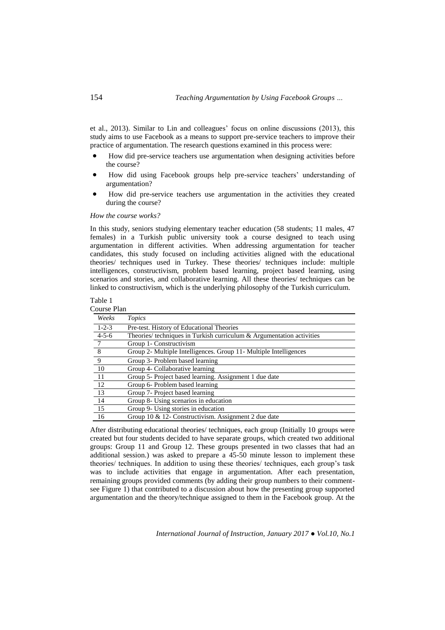et al., 2013). Similar to Lin and colleagues' focus on online discussions (2013), this study aims to use Facebook as a means to support pre-service teachers to improve their practice of argumentation. The research questions examined in this process were:

- How did pre-service teachers use argumentation when designing activities before the course?
- How did using Facebook groups help pre-service teachers' understanding of argumentation?
- How did pre-service teachers use argumentation in the activities they created during the course?

*How the course works?*

In this study, seniors studying elementary teacher education (58 students; 11 males, 47 females) in a Turkish public university took a course designed to teach using argumentation in different activities. When addressing argumentation for teacher candidates, this study focused on including activities aligned with the educational theories/ techniques used in Turkey. These theories/ techniques include: multiple intelligences, constructivism, problem based learning, project based learning, using scenarios and stories, and collaborative learning. All these theories/ techniques can be linked to constructivism, which is the underlying philosophy of the Turkish curriculum.

# Table 1

| Course Plan |  |
|-------------|--|
|             |  |
|             |  |

| Weeks       | Topics                                                                |
|-------------|-----------------------------------------------------------------------|
| $1 - 2 - 3$ | Pre-test. History of Educational Theories                             |
| $4 - 5 - 6$ | Theories/ techniques in Turkish curriculum & Argumentation activities |
| -7          | Group 1- Constructivism                                               |
| 8           | Group 2- Multiple Intelligences. Group 11- Multiple Intelligences     |
| -9          | Group 3- Problem based learning                                       |
| 10          | Group 4- Collaborative learning                                       |
| -11         | Group 5- Project based learning. Assignment 1 due date                |
| 12          | Group 6- Problem based learning                                       |
| 13          | Group 7- Project based learning                                       |
| 14          | Group 8- Using scenarios in education                                 |
| 15          | Group 9- Using stories in education                                   |
| 16          | Group 10 & 12- Constructivism. Assignment 2 due date                  |

After distributing educational theories/ techniques, each group (Initially 10 groups were created but four students decided to have separate groups, which created two additional groups: Group 11 and Group 12. These groups presented in two classes that had an additional session.) was asked to prepare a 45-50 minute lesson to implement these theories/ techniques. In addition to using these theories/ techniques, each group's task was to include activities that engage in argumentation. After each presentation, remaining groups provided comments (by adding their group numbers to their commentsee Figure 1) that contributed to a discussion about how the presenting group supported argumentation and the theory/technique assigned to them in the Facebook group. At the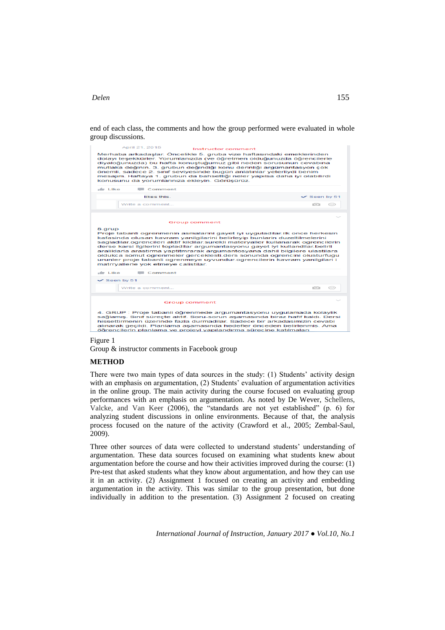end of each class, the comments and how the group performed were evaluated in whole group discussions.



### Figure 1

Group & instructor comments in Facebook group

### **METHOD**

There were two main types of data sources in the study: (1) Students' activity design with an emphasis on argumentation, (2) Students' evaluation of argumentation activities in the online group. The main activity during the course focused on evaluating group performances with an emphasis on argumentation. As noted by De Wever, Schellens, Valcke, and Van Keer (2006), the "standards are not yet established" (p. 6) for analyzing student discussions in online environments. Because of that, the analysis process focused on the nature of the activity (Crawford et al., 2005; Zembal-Saul, 2009).

Three other sources of data were collected to understand students' understanding of argumentation. These data sources focused on examining what students knew about argumentation before the course and how their activities improved during the course: (1) Pre-test that asked students what they know about argumentation, and how they can use it in an activity. (2) Assignment 1 focused on creating an activity and embedding argumentation in the activity. This was similar to the group presentation, but done individually in addition to the presentation. (3) Assignment 2 focused on creating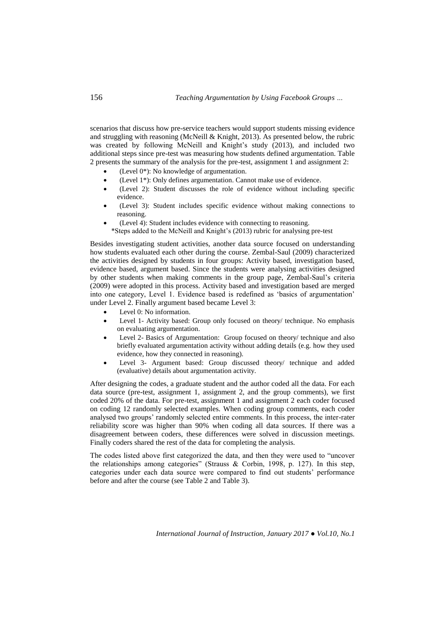scenarios that discuss how pre-service teachers would support students missing evidence and struggling with reasoning (McNeill & Knight, 2013). As presented below, the rubric was created by following McNeill and Knight's study (2013), and included two additional steps since pre-test was measuring how students defined argumentation. Table 2 presents the summary of the analysis for the pre-test, assignment 1 and assignment 2:

- (Level 0\*): No knowledge of argumentation.
- (Level 1\*): Only defines argumentation. Cannot make use of evidence.
- (Level 2): Student discusses the role of evidence without including specific evidence.
- (Level 3): Student includes specific evidence without making connections to reasoning.
- (Level 4): Student includes evidence with connecting to reasoning. \*Steps added to the McNeill and Knight's (2013) rubric for analysing pre-test

Besides investigating student activities, another data source focused on understanding how students evaluated each other during the course. Zembal-Saul (2009) characterized the activities designed by students in four groups: Activity based, investigation based, evidence based, argument based. Since the students were analysing activities designed by other students when making comments in the group page, Zembal-Saul's criteria (2009) were adopted in this process. Activity based and investigation based are merged into one category, Level 1. Evidence based is redefined as 'basics of argumentation' under Level 2. Finally argument based became Level 3:

- Level 0: No information.
- Level 1- Activity based: Group only focused on theory/ technique. No emphasis on evaluating argumentation.
- Level 2- Basics of Argumentation: Group focused on theory/ technique and also briefly evaluated argumentation activity without adding details (e.g. how they used evidence, how they connected in reasoning).
- Level 3- Argument based: Group discussed theory/ technique and added (evaluative) details about argumentation activity.

After designing the codes, a graduate student and the author coded all the data. For each data source (pre-test, assignment 1, assignment 2, and the group comments), we first coded 20% of the data. For pre-test, assignment 1 and assignment 2 each coder focused on coding 12 randomly selected examples. When coding group comments, each coder analysed two groups' randomly selected entire comments. In this process, the inter-rater reliability score was higher than 90% when coding all data sources. If there was a disagreement between coders, these differences were solved in discussion meetings. Finally coders shared the rest of the data for completing the analysis.

The codes listed above first categorized the data, and then they were used to "uncover the relationships among categories" (Strauss & Corbin, 1998, p. 127). In this step, categories under each data source were compared to find out students' performance before and after the course (see Table 2 and Table 3).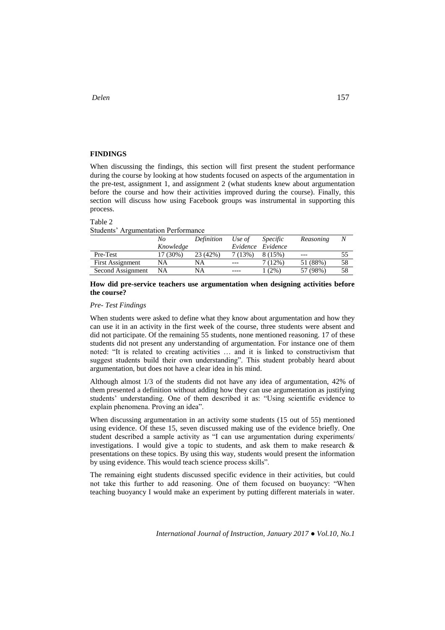### **FINDINGS**

When discussing the findings, this section will first present the student performance during the course by looking at how students focused on aspects of the argumentation in the pre-test, assignment 1, and assignment 2 (what students knew about argumentation before the course and how their activities improved during the course). Finally, this section will discuss how using Facebook groups was instrumental in supporting this process.

#### Table 2

Students' Argumentation Performance

|                         | No        | Definition | Use of    | <i>Specific</i> | Reasoning | N  |
|-------------------------|-----------|------------|-----------|-----------------|-----------|----|
|                         | Knowledge |            | Evidence  | Evidence        |           |    |
| Pre-Test                | 17 (30%)  | 23 (42%)   | $7(13\%)$ | 8(15%)          | ---       |    |
| <b>First Assignment</b> | <b>NA</b> | NA         | $---$     | 7(12%)          | 51 (88%)  | 58 |
| Second Assignment       | NA        | NA         | ----      | $(2\%)$         | 57 (98%)  | 58 |

# **How did pre-service teachers use argumentation when designing activities before the course?**

#### *Pre- Test Findings*

When students were asked to define what they know about argumentation and how they can use it in an activity in the first week of the course, three students were absent and did not participate. Of the remaining 55 students, none mentioned reasoning. 17 of these students did not present any understanding of argumentation. For instance one of them noted: "It is related to creating activities … and it is linked to constructivism that suggest students build their own understanding". This student probably heard about argumentation, but does not have a clear idea in his mind.

Although almost 1/3 of the students did not have any idea of argumentation, 42% of them presented a definition without adding how they can use argumentation as justifying students' understanding. One of them described it as: "Using scientific evidence to explain phenomena. Proving an idea".

When discussing argumentation in an activity some students (15 out of 55) mentioned using evidence. Of these 15, seven discussed making use of the evidence briefly. One student described a sample activity as "I can use argumentation during experiments/ investigations. I would give a topic to students, and ask them to make research  $\&$ presentations on these topics. By using this way, students would present the information by using evidence. This would teach science process skills".

The remaining eight students discussed specific evidence in their activities, but could not take this further to add reasoning. One of them focused on buoyancy: "When teaching buoyancy I would make an experiment by putting different materials in water.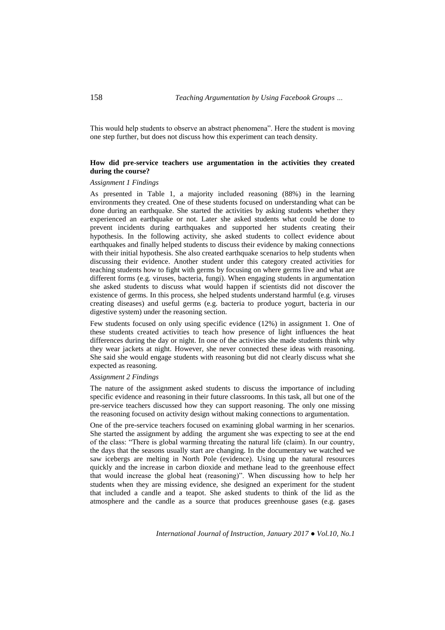This would help students to observe an abstract phenomena". Here the student is moving one step further, but does not discuss how this experiment can teach density.

# **How did pre-service teachers use argumentation in the activities they created during the course?**

### *Assignment 1 Findings*

As presented in Table 1, a majority included reasoning (88%) in the learning environments they created. One of these students focused on understanding what can be done during an earthquake. She started the activities by asking students whether they experienced an earthquake or not. Later she asked students what could be done to prevent incidents during earthquakes and supported her students creating their hypothesis. In the following activity, she asked students to collect evidence about earthquakes and finally helped students to discuss their evidence by making connections with their initial hypothesis. She also created earthquake scenarios to help students when discussing their evidence. Another student under this category created activities for teaching students how to fight with germs by focusing on where germs live and what are different forms (e.g. viruses, bacteria, fungi). When engaging students in argumentation she asked students to discuss what would happen if scientists did not discover the existence of germs. In this process, she helped students understand harmful (e.g. viruses creating diseases) and useful germs (e.g. bacteria to produce yogurt, bacteria in our digestive system) under the reasoning section.

Few students focused on only using specific evidence (12%) in assignment 1. One of these students created activities to teach how presence of light influences the heat differences during the day or night. In one of the activities she made students think why they wear jackets at night. However, she never connected these ideas with reasoning. She said she would engage students with reasoning but did not clearly discuss what she expected as reasoning.

#### *Assignment 2 Findings*

The nature of the assignment asked students to discuss the importance of including specific evidence and reasoning in their future classrooms. In this task, all but one of the pre-service teachers discussed how they can support reasoning. The only one missing the reasoning focused on activity design without making connections to argumentation.

One of the pre-service teachers focused on examining global warming in her scenarios. She started the assignment by adding the argument she was expecting to see at the end of the class: "There is global warming threating the natural life (claim). In our country, the days that the seasons usually start are changing. In the documentary we watched we saw icebergs are melting in North Pole (evidence). Using up the natural resources quickly and the increase in carbon dioxide and methane lead to the greenhouse effect that would increase the global heat (reasoning)". When discussing how to help her students when they are missing evidence, she designed an experiment for the student that included a candle and a teapot. She asked students to think of the lid as the atmosphere and the candle as a source that produces greenhouse gases (e.g. gases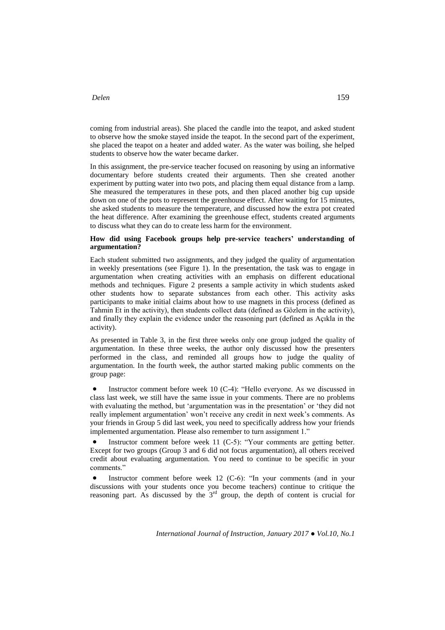coming from industrial areas). She placed the candle into the teapot, and asked student to observe how the smoke stayed inside the teapot. In the second part of the experiment, she placed the teapot on a heater and added water. As the water was boiling, she helped students to observe how the water became darker.

In this assignment, the pre-service teacher focused on reasoning by using an informative documentary before students created their arguments. Then she created another experiment by putting water into two pots, and placing them equal distance from a lamp. She measured the temperatures in these pots, and then placed another big cup upside down on one of the pots to represent the greenhouse effect. After waiting for 15 minutes, she asked students to measure the temperature, and discussed how the extra pot created the heat difference. After examining the greenhouse effect, students created arguments to discuss what they can do to create less harm for the environment.

# **How did using Facebook groups help pre-service teachers' understanding of argumentation?**

Each student submitted two assignments, and they judged the quality of argumentation in weekly presentations (see Figure 1). In the presentation, the task was to engage in argumentation when creating activities with an emphasis on different educational methods and techniques. Figure 2 presents a sample activity in which students asked other students how to separate substances from each other. This activity asks participants to make initial claims about how to use magnets in this process (defined as Tahmin Et in the activity), then students collect data (defined as Gözlem in the activity), and finally they explain the evidence under the reasoning part (defined as Açıkla in the activity).

As presented in Table 3, in the first three weeks only one group judged the quality of argumentation. In these three weeks, the author only discussed how the presenters performed in the class, and reminded all groups how to judge the quality of argumentation. In the fourth week, the author started making public comments on the group page:

 Instructor comment before week 10 (C-4): "Hello everyone. As we discussed in class last week, we still have the same issue in your comments. There are no problems with evaluating the method, but 'argumentation was in the presentation' or 'they did not really implement argumentation' won't receive any credit in next week's comments. As your friends in Group 5 did last week, you need to specifically address how your friends implemented argumentation. Please also remember to turn assignment 1."

 Instructor comment before week 11 (C-5): "Your comments are getting better. Except for two groups (Group 3 and 6 did not focus argumentation), all others received credit about evaluating argumentation. You need to continue to be specific in your comments."

 Instructor comment before week 12 (C-6): "In your comments (and in your discussions with your students once you become teachers) continue to critique the reasoning part. As discussed by the 3<sup>rd</sup> group, the depth of content is crucial for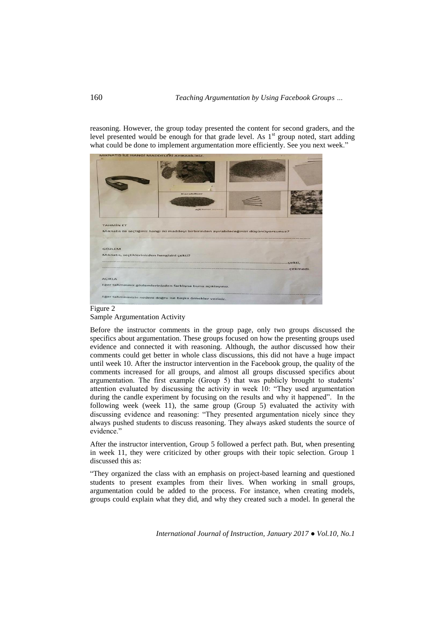reasoning. However, the group today presented the content for second graders, and the level presented would be enough for that grade level. As  $1<sup>st</sup>$  group noted, start adding what could be done to implement argumentation more efficiently. See you next week."



#### Figure 2 Sample Argumentation Activity

Before the instructor comments in the group page, only two groups discussed the specifics about argumentation. These groups focused on how the presenting groups used evidence and connected it with reasoning. Although, the author discussed how their comments could get better in whole class discussions, this did not have a huge impact until week 10. After the instructor intervention in the Facebook group, the quality of the comments increased for all groups, and almost all groups discussed specifics about argumentation. The first example (Group 5) that was publicly brought to students' attention evaluated by discussing the activity in week 10: "They used argumentation during the candle experiment by focusing on the results and why it happened". In the following week (week 11), the same group (Group 5) evaluated the activity with discussing evidence and reasoning: "They presented argumentation nicely since they always pushed students to discuss reasoning. They always asked students the source of evidence"

After the instructor intervention, Group 5 followed a perfect path. But, when presenting in week 11, they were criticized by other groups with their topic selection. Group 1 discussed this as:

"They organized the class with an emphasis on project-based learning and questioned students to present examples from their lives. When working in small groups, argumentation could be added to the process. For instance, when creating models, groups could explain what they did, and why they created such a model. In general the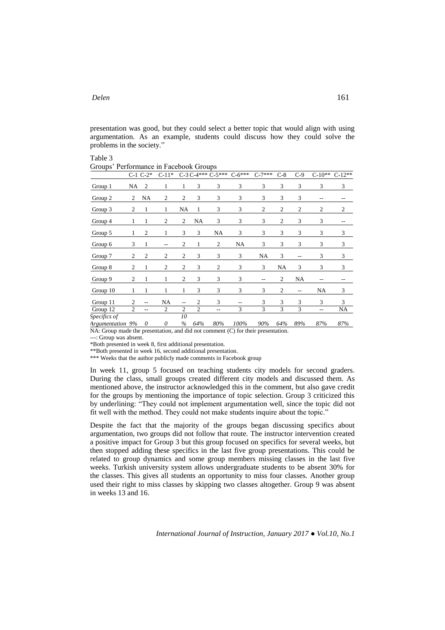presentation was good, but they could select a better topic that would align with using argumentation. As an example, students could discuss how they could solve the problems in the society."

| Table 3                                |  |
|----------------------------------------|--|
| Groups' Performance in Facebook Groups |  |

|                                                                                       |                | $C-1$ $C-2*$   | $C-11*$        |                |                | $C-3C-4***C-5***$ | $C - 6***$ | $C-7***$ | $C-8$          | $C-9$ | $C-10**$   | $C-12**$ |
|---------------------------------------------------------------------------------------|----------------|----------------|----------------|----------------|----------------|-------------------|------------|----------|----------------|-------|------------|----------|
| Group 1                                                                               | NA             | 2              | 1              | $\mathbf{1}$   | 3              | 3                 | 3          | 3        | 3              | 3     | 3          | 3        |
| Group 2                                                                               | $\overline{c}$ | NA             | $\overline{c}$ | 2              | 3              | 3                 | 3          | 3        | 3              | 3     | $-$        | --       |
| Group 3                                                                               | 2              | 1              | 1              | <b>NA</b>      | 1              | 3                 | 3          | 2        | 2              | 2     | 2          | 2        |
| Group 4                                                                               | 1              | 1              | $\overline{c}$ | 2              | NA             | 3                 | 3          | 3        | $\mathfrak{2}$ | 3     | 3          |          |
| Group 5                                                                               | 1              | $\overline{c}$ | 1              | 3              | 3              | NA                | 3          | 3        | 3              | 3     | 3          | 3        |
| Group 6                                                                               | 3              | 1              | $-$            | 2              | 1              | $\mathbf{2}$      | NA         | 3        | 3              | 3     | 3          | 3        |
| Group 7                                                                               | $\overline{c}$ | $\overline{2}$ | $\overline{2}$ | $\overline{2}$ | 3              | 3                 | 3          | NA       | 3              | $-$   | 3          | 3        |
| Group 8                                                                               | $\overline{2}$ | 1              | 2              | 2              | 3              | $\overline{2}$    | 3          | 3        | NA             | 3     | 3          | 3        |
| Group 9                                                                               | $\overline{c}$ | 1              | 1              | $\mathfrak{2}$ | 3              | 3                 | 3          | $-$      | 2              | NA    | --         | --       |
| Group 10                                                                              | 1              | 1              | 1              | 1              | 3              | 3                 | 3          | 3        | $\overline{2}$ | --    | NA         | 3        |
| Group 11                                                                              | 2              | $-$            | NA             | $-$            | 2              | 3                 | $-$        | 3        | 3              | 3     | 3          | 3        |
| Group 12                                                                              | $\overline{2}$ | $\sim$ $\sim$  | $\overline{c}$ | $\mathfrak{2}$ | $\overline{2}$ | --                | 3          | 3        | 3              | 3     | $\sim$ $-$ | NA       |
| Specifics of                                                                          |                |                |                | 10             |                |                   |            |          |                |       |            |          |
| Argumentation 9%                                                                      |                | 0              | 0              | $\frac{0}{0}$  | 64%            | 80%               | 100%       | 90%      | 64%            | 89%   | 87%        | 87%      |
| $NA$ : Group made the presentation, and did not comment $(C)$ for their presentation. |                |                |                |                |                |                   |            |          |                |       |            |          |

---: Group was absent.

\*Both presented in week 8, first additional presentation.

\*\*Both presented in week 16, second additional presentation.

\*\*\* Weeks that the author publicly made comments in Facebook group

In week 11, group 5 focused on teaching students city models for second graders. During the class, small groups created different city models and discussed them. As mentioned above, the instructor acknowledged this in the comment, but also gave credit for the groups by mentioning the importance of topic selection. Group 3 criticized this by underlining: "They could not implement argumentation well, since the topic did not fit well with the method. They could not make students inquire about the topic."

Despite the fact that the majority of the groups began discussing specifics about argumentation, two groups did not follow that route. The instructor intervention created a positive impact for Group 3 but this group focused on specifics for several weeks, but then stopped adding these specifics in the last five group presentations. This could be related to group dynamics and some group members missing classes in the last five weeks. Turkish university system allows undergraduate students to be absent 30% for the classes. This gives all students an opportunity to miss four classes. Another group used their right to miss classes by skipping two classes altogether. Group 9 was absent in weeks 13 and 16.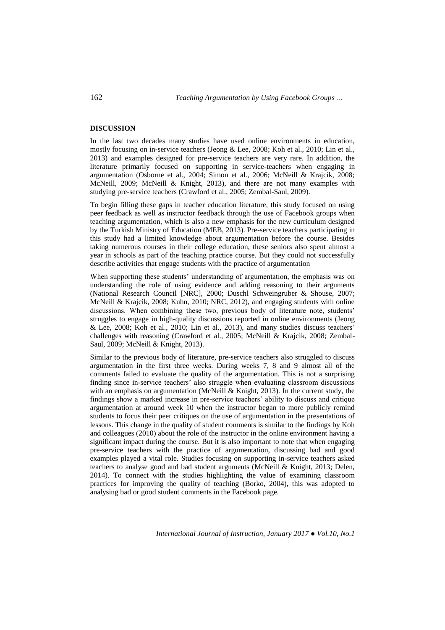### **DISCUSSION**

In the last two decades many studies have used online environments in education, mostly focusing on in-service teachers (Jeong & Lee, 2008; Koh et al., 2010; Lin et al., 2013) and examples designed for pre-service teachers are very rare. In addition, the literature primarily focused on supporting in service-teachers when engaging in argumentation (Osborne et al., 2004; Simon et al., 2006; McNeill & Krajcik, 2008; McNeill, 2009; McNeill & Knight, 2013), and there are not many examples with studying pre-service teachers (Crawford et al., 2005; Zembal-Saul, 2009).

To begin filling these gaps in teacher education literature, this study focused on using peer feedback as well as instructor feedback through the use of Facebook groups when teaching argumentation, which is also a new emphasis for the new curriculum designed by the Turkish Ministry of Education (MEB, 2013). Pre-service teachers participating in this study had a limited knowledge about argumentation before the course. Besides taking numerous courses in their college education, these seniors also spent almost a year in schools as part of the teaching practice course. But they could not successfully describe activities that engage students with the practice of argumentation

When supporting these students' understanding of argumentation, the emphasis was on understanding the role of using evidence and adding reasoning to their arguments (National Research Council [NRC], 2000; Duschl Schweingruber & Shouse, 2007; McNeill & Krajcik, 2008; Kuhn, 2010; NRC, 2012), and engaging students with online discussions. When combining these two, previous body of literature note, students' struggles to engage in high-quality discussions reported in online environments (Jeong & Lee, 2008; Koh et al., 2010; Lin et al., 2013), and many studies discuss teachers' challenges with reasoning (Crawford et al., 2005; McNeill & Krajcik, 2008; Zembal-Saul, 2009; McNeill & Knight, 2013).

Similar to the previous body of literature, pre-service teachers also struggled to discuss argumentation in the first three weeks. During weeks 7, 8 and 9 almost all of the comments failed to evaluate the quality of the argumentation. This is not a surprising finding since in-service teachers' also struggle when evaluating classroom discussions with an emphasis on argumentation (McNeill & Knight, 2013). In the current study, the findings show a marked increase in pre-service teachers' ability to discuss and critique argumentation at around week 10 when the instructor began to more publicly remind students to focus their peer critiques on the use of argumentation in the presentations of lessons. This change in the quality of student comments is similar to the findings by Koh and colleagues (2010) about the role of the instructor in the online environment having a significant impact during the course. But it is also important to note that when engaging pre-service teachers with the practice of argumentation, discussing bad and good examples played a vital role. Studies focusing on supporting in-service teachers asked teachers to analyse good and bad student arguments (McNeill & Knight, 2013; Delen, 2014). To connect with the studies highlighting the value of examining classroom practices for improving the quality of teaching (Borko, 2004), this was adopted to analysing bad or good student comments in the Facebook page.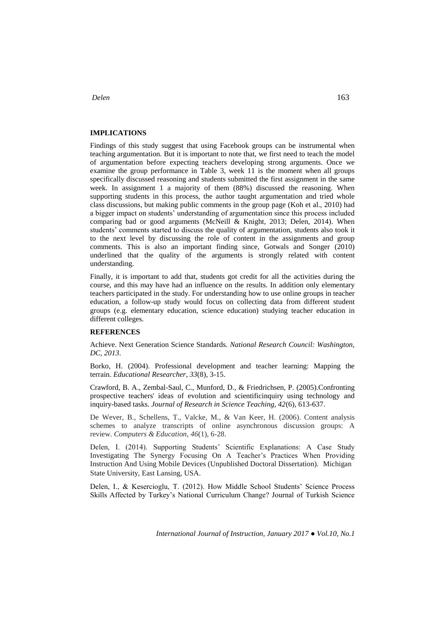#### **IMPLICATIONS**

Findings of this study suggest that using Facebook groups can be instrumental when teaching argumentation. But it is important to note that, we first need to teach the model of argumentation before expecting teachers developing strong arguments. Once we examine the group performance in Table 3, week 11 is the moment when all groups specifically discussed reasoning and students submitted the first assignment in the same week. In assignment 1 a majority of them (88%) discussed the reasoning. When supporting students in this process, the author taught argumentation and tried whole class discussions, but making public comments in the group page (Koh et al., 2010) had a bigger impact on students' understanding of argumentation since this process included comparing bad or good arguments (McNeill & Knight, 2013; Delen, 2014). When students' comments started to discuss the quality of argumentation, students also took it to the next level by discussing the role of content in the assignments and group comments. This is also an important finding since, Gotwals and Songer (2010) underlined that the quality of the arguments is strongly related with content understanding.

Finally, it is important to add that, students got credit for all the activities during the course, and this may have had an influence on the results. In addition only elementary teachers participated in the study. For understanding how to use online groups in teacher education, a follow-up study would focus on collecting data from different student groups (e.g. elementary education, science education) studying teacher education in different colleges.

# **REFERENCES**

Achieve. Next Generation Science Standards. *National Research Council: Washington, DC, 2013*.

Borko, H. (2004). Professional development and teacher learning: Mapping the terrain. *Educational Researcher*, *33*(8), 3-15.

Crawford, B. A., Zembal-Saul, C., Munford, D., & Friedrichsen, P. (2005).Confronting prospective teachers' ideas of evolution and scientificinquiry using technology and inquiry-based tasks. *Journal of Research in Science Teaching, 42*(6), 613-637.

De Wever, B., Schellens, T., Valcke, M., & Van Keer, H. (2006). Content analysis schemes to analyze transcripts of online asynchronous discussion groups: A review. *Computers & Education*, *46*(1), 6-28.

Delen, I. (2014). Supporting Students' Scientific Explanations: A Case Study Investigating The Synergy Focusing On A Teacher's Practices When Providing Instruction And Using Mobile Devices (Unpublished Doctoral Dissertation). Michigan State University, East Lansing, USA.

Delen, I., & Kesercioglu, T. (2012). How Middle School Students' Science Process Skills Affected by Turkey's National Curriculum Change? Journal of Turkish Science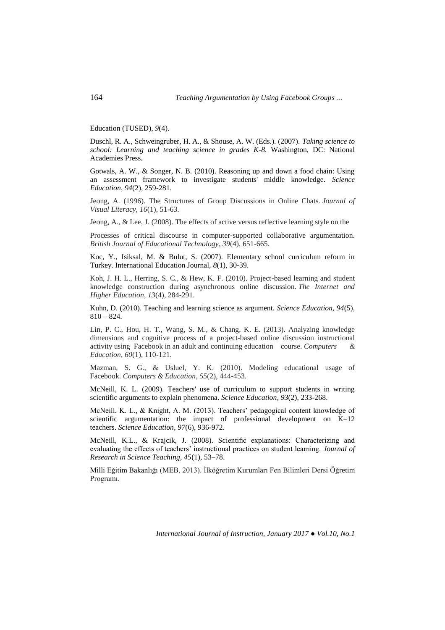Education (TUSED), *9*(4).

Duschl, R. A., Schweingruber, H. A., & Shouse, A. W. (Eds.). (2007). *Taking science to school: Learning and teaching science in grades K-8.* Washington, DC: National Academies Press.

Gotwals, A. W., & Songer, N. B. (2010). Reasoning up and down a food chain: Using an assessment framework to investigate students' middle knowledge. *Science Education*, *94*(2), 259-281.

Jeong, A. (1996). The Structures of Group Discussions in Online Chats. *Journal of Visual Literacy*, *16*(1), 51-63.

Jeong, A., & Lee, J. (2008). The effects of active versus reflective learning style on the

Processes of critical discourse in computer‐supported collaborative argumentation. *British Journal of Educational Technology*, *39*(4), 651-665.

Koc, Y., Isiksal, M. & Bulut, S. (2007). Elementary school curriculum reform in Turkey. International Education Journal, *8*(1), 30-39.

Koh, J. H. L., Herring, S. C., & Hew, K. F. (2010). Project-based learning and student knowledge construction during asynchronous online discussion. *The Internet and Higher Education*, *13*(4), 284-291.

Kuhn, D. (2010). Teaching and learning science as argument. *Science Education, 94*(5),  $810 - 824.$ 

Lin, P. C., Hou, H. T., Wang, S. M., & Chang, K. E. (2013). Analyzing knowledge dimensions and cognitive process of a project-based online discussion instructional activity using Facebook in an adult and continuing education course. *Computers & Education*, *60*(1), 110-121.

Mazman, S. G., & Usluel, Y. K. (2010). Modeling educational usage of Facebook. *Computers & Education*, *55*(2), 444-453.

McNeill, K. L. (2009). Teachers' use of curriculum to support students in writing scientific arguments to explain phenomena. *Science Education*, *93*(2), 233-268.

McNeill, K. L., & Knight, A. M. (2013). Teachers' pedagogical content knowledge of scientific argumentation: the impact of professional development on K–12 teachers. *Science Education*, *97*(6), 936-972.

McNeill, K.L., & Krajcik, J. (2008). Scientific explanations: Characterizing and evaluating the effects of teachers' instructional practices on student learning. *Journal of Research in Science Teaching, 45*(1), 53–78.

Milli Eğitim Bakanlığı (MEB, 2013). İlköğretim Kurumları Fen Bilimleri Dersi Öğretim Programı.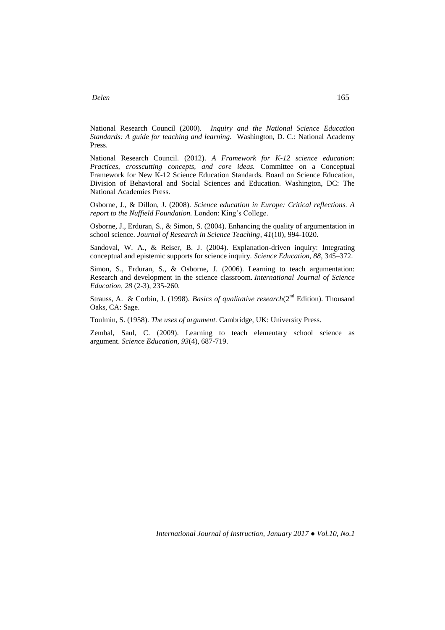National Research Council (2000). *Inquiry and the National Science Education Standards: A guide for teaching and learning.* Washington, D. C.: National Academy Press.

National Research Council. (2012). *A Framework for K-12 science education: Practices, crosscutting concepts, and core ideas.* Committee on a Conceptual Framework for New K-12 Science Education Standards. Board on Science Education, Division of Behavioral and Social Sciences and Education. Washington, DC: The National Academies Press.

Osborne, J., & Dillon, J. (2008). *Science education in Europe: Critical reflections. A report to the Nuffield Foundation.* London: King's College.

Osborne, J., Erduran, S., & Simon, S. (2004). Enhancing the quality of argumentation in school science. *Journal of Research in Science Teaching*, *41*(10), 994-1020.

Sandoval, W. A., & Reiser, B. J. (2004). Explanation-driven inquiry: Integrating conceptual and epistemic supports for science inquiry. *Science Education, 88,* 345–372.

Simon, S., Erduran, S., & Osborne, J. (2006). Learning to teach argumentation: Research and development in the science classroom. *International Journal of Science Education*, *28* (2-3), 235-260.

Strauss, A. & Corbin, J. (1998). *Basics of qualitative research*(2<sup>nd</sup> Edition). Thousand Oaks, CA: Sage.

Toulmin, S. (1958). *The uses of argument.* Cambridge, UK: University Press.

Zembal, Saul, C. (2009). Learning to teach elementary school science as argument. *Science Education*, *93*(4), 687-719.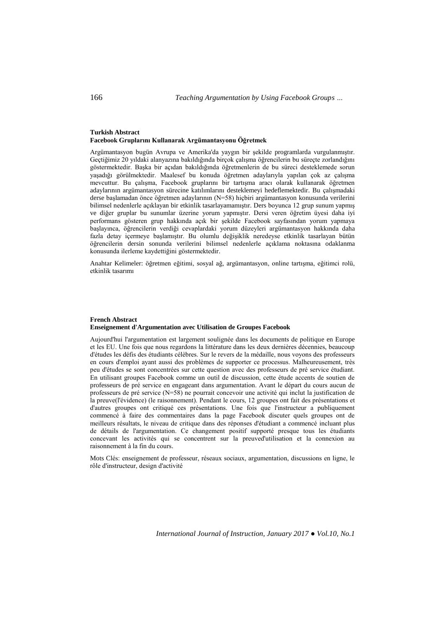#### **Turkish Abstract Facebook Gruplarını Kullanarak Argümantasyonu Öğretmek**

Argümantasyon bugün Avrupa ve Amerika'da yaygın bir şekilde programlarda vurgulanmıştır. Geçtiğimiz 20 yıldaki alanyazına bakıldığında birçok çalışma öğrencilerin bu süreçte zorlandığını göstermektedir. Başka bir açıdan bakıldığında öğretmenlerin de bu süreci desteklemede sorun yaşadığı görülmektedir. Maalesef bu konuda öğretmen adaylarıyla yapılan çok az çalışma mevcuttur. Bu çalışma, Facebook gruplarını bir tartışma aracı olarak kullanarak öğretmen adaylarının argümantasyon sürecine katılımlarını desteklemeyi hedeflemektedir. Bu çalışmadaki derse başlamadan önce öğretmen adaylarının (N=58) hiçbiri argümantasyon konusunda verilerini bilimsel nedenlerle açıklayan bir etkinlik tasarlayamamıştır. Ders boyunca 12 grup sunum yapmış ve diğer gruplar bu sunumlar üzerine yorum yapmıştır. Dersi veren öğretim üyesi daha iyi performans gösteren grup hakkında açık bir şekilde Facebook sayfasından yorum yapmaya başlayınca, öğrencilerin verdiği cevaplardaki yorum düzeyleri argümantasyon hakkında daha fazla detay içermeye başlamıştır. Bu olumlu değişiklik neredeyse etkinlik tasarlayan bütün öğrencilerin dersin sonunda verilerini bilimsel nedenlerle açıklama noktasına odaklanma konusunda ilerleme kaydettiğini göstermektedir.

Anahtar Kelimeler: öğretmen eğitimi, sosyal ağ, argümantasyon, online tartışma, eğitimci rolü, etkinlik tasarımı

#### **French Abstract Enseignement d'Argumentation avec Utilisation de Groupes Facebook**

Aujourd'hui l'argumentation est largement soulignée dans les documents de politique en Europe et les EU. Une fois que nous regardons la littérature dans les deux dernières décennies, beaucoup d'études les défis des étudiants célèbres. Sur le revers de la médaille, nous voyons des professeurs en cours d'emploi ayant aussi des problèmes de supporter ce processus. Malheureusement, très peu d'études se sont concentrées sur cette question avec des professeurs de pré service étudiant. En utilisant groupes Facebook comme un outil de discussion, cette étude accents de soutien de professeurs de pré service en engageant dans argumentation. Avant le départ du cours aucun de professeurs de pré service (N=58) ne pourrait concevoir une activité qui inclut la justification de la preuve(l'évidence) (le raisonnement). Pendant le cours, 12 groupes ont fait des présentations et d'autres groupes ont critiqué ces présentations. Une fois que l'instructeur a publiquement commencé à faire des commentaires dans la page Facebook discuter quels groupes ont de meilleurs résultats, le niveau de critique dans des réponses d'étudiant a commencé incluant plus de détails de l'argumentation. Ce changement positif supporté presque tous les étudiants concevant les activités qui se concentrent sur la preuved'utilisation et la connexion au raisonnement à la fin du cours.

Mots Clés: enseignement de professeur, réseaux sociaux, argumentation, discussions en ligne, le rôle d'instructeur, design d'activité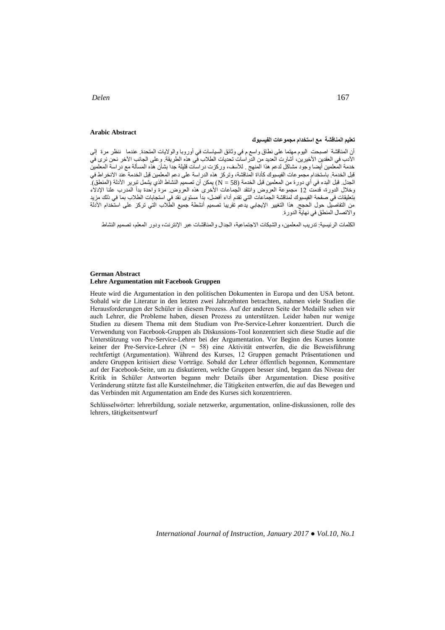**Arabic Abstract**

### **تعليم المناقشة مع استخدام مجموعات الفيسبوك**

أن المناقشة اصبحت اليوم مهتما على نطاق واسع م في وثائق السياسات في أوروبا والواليات المتحدة. عندما ننظر مرة إلى الأدب في العقدين الأخيرين، اشارت العديد من الدراسات تحديات الطلاب في هذه الطريقة. وعلى الجانب الآخر نحن نرى في خدمة المعلمين أيضا وجود مشاكل لدعم هذا المنهج . لألسف، وركزت دراسات قليلة جدا بشأن هذه المسألة مع دراسة المعلمين قبل الخدمة. باستخدام مجموعات الفيسبوك كأداة المناقشة، وتركز هذه الدراسة على دعم المعلمين قبل الخدمة عند االنخراط في الجدل. قبل البدء في أي دورة من المعلمين قبل الخدمة (38 = N) يمكن أن تصميم النشاط الذي يشمل تبرير الادلة (المنطق). وخالل الدورة، قدمت 21 مجموعة العروض وانتقد الجماعات األخرى هذه العروض. مرة واحدة بدأ المدرب علنا اإلدالء بتعليقات في صفحة الفيسبوك لمناقشة الجماعات التي تقدم أداء أفضل، بدأ مستوى نقد في استجابات الطالب بما في ذلك مزيد من التفاصيل حول الحجج. هذا التغيير الإيجابي يدعم تقريبا تصميم انشطة جميع الطلاب التي تركز على استخدام الادلة واالتصال المنطق في نهاية الدورة.

الكلمات الرئيسية: تدريب المعلمين، والشبكات االجتماعية، الجدال والمناقشات عبر اإلنترنت، ودور المعلم، تصميم النشاط

#### **German Abstract Lehre Argumentation mit Facebook Gruppen**

Heute wird die Argumentation in den politischen Dokumenten in Europa und den USA betont. Sobald wir die Literatur in den letzten zwei Jahrzehnten betrachten, nahmen viele Studien die Herausforderungen der Schüler in diesem Prozess. Auf der anderen Seite der Medaille sehen wir auch Lehrer, die Probleme haben, diesen Prozess zu unterstützen. Leider haben nur wenige Studien zu diesem Thema mit dem Studium von Pre-Service-Lehrer konzentriert. Durch die Verwendung von Facebook-Gruppen als Diskussions-Tool konzentriert sich diese Studie auf die Unterstützung von Pre-Service-Lehrer bei der Argumentation. Vor Beginn des Kurses konnte keiner der Pre-Service-Lehrer (N = 58) eine Aktivität entwerfen, die die Beweisführung rechtfertigt (Argumentation). Während des Kurses, 12 Gruppen gemacht Präsentationen und andere Gruppen kritisiert diese Vorträge. Sobald der Lehrer öffentlich begonnen, Kommentare auf der Facebook-Seite, um zu diskutieren, welche Gruppen besser sind, begann das Niveau der Kritik in Schüler Antworten begann mehr Details über Argumentation. Diese positive Veränderung stützte fast alle Kursteilnehmer, die Tätigkeiten entwerfen, die auf das Bewegen und das Verbinden mit Argumentation am Ende des Kurses sich konzentrieren.

Schlüsselwörter: lehrerbildung, soziale netzwerke, argumentation, online-diskussionen, rolle des lehrers, tätigkeitsentwurf